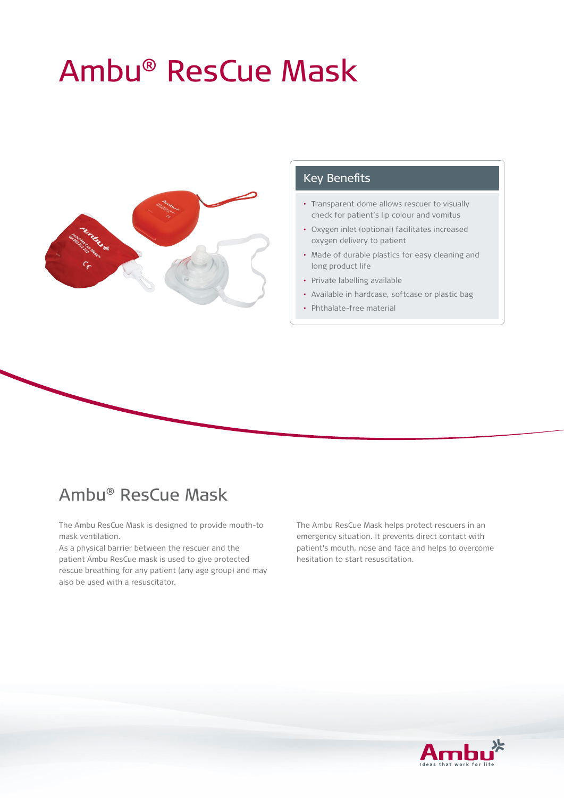# Ambu® ResCue Mask



### Key Benefits

- Transparent dome allows rescuer to visually check for patient's lip colour and vomitus
- Oxygen inlet (optional) facilitates increased oxygen delivery to patient
- Made of durable plastics for easy cleaning and long product life
- Private labelling available
- Available in hardcase, softcase or plastic bag
- Phthalate-free material

## Ambu® ResCue Mask

The Ambu ResCue Mask is designed to provide mouth-to mask ventilation.

As a physical barrier between the rescuer and the patient Ambu ResCue mask is used to give protected rescue breathing for any patient (any age group) and may also be used with a resuscitator.

The Ambu ResCue Mask helps protect rescuers in an emergency situation. It prevents direct contact with patient's mouth, nose and face and helps to overcome hesitation to start resuscitation.